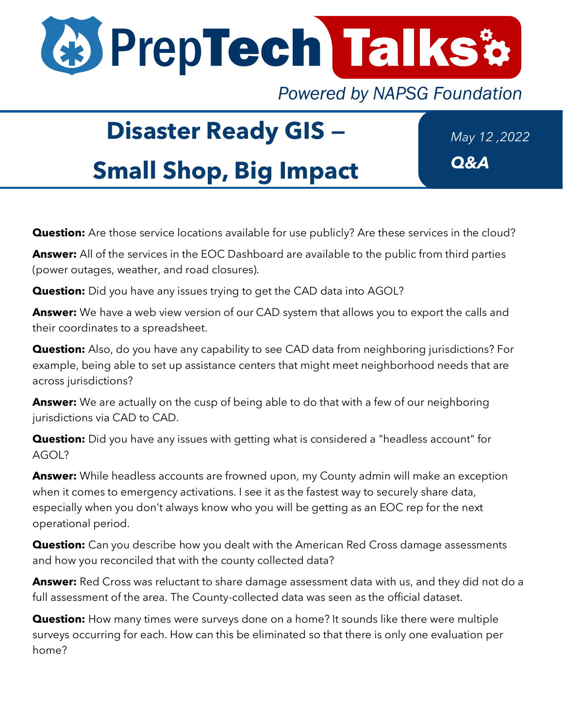

**Powered by NAPSG Foundation** 

## **Disaster Ready GIS —**

**Small Shop, Big Impact**

*May 12 ,2022 Q&A*

**Question:** Are those service locations available for use publicly? Are these services in the cloud?

**Answer:** All of the services in the EOC Dashboard are available to the public from third parties (power outages, weather, and road closures).

**Question:** Did you have any issues trying to get the CAD data into AGOL?

**Answer:** We have a web view version of our CAD system that allows you to export the calls and their coordinates to a spreadsheet.

**Question:** Also, do you have any capability to see CAD data from neighboring jurisdictions? For example, being able to set up assistance centers that might meet neighborhood needs that are across jurisdictions?

**Answer:** We are actually on the cusp of being able to do that with a few of our neighboring jurisdictions via CAD to CAD.

**Question:** Did you have any issues with getting what is considered a "headless account" for AGOL?

**Answer:** While headless accounts are frowned upon, my County admin will make an exception when it comes to emergency activations. I see it as the fastest way to securely share data, especially when you don't always know who you will be getting as an EOC rep for the next operational period.

**Question:** Can you describe how you dealt with the American Red Cross damage assessments and how you reconciled that with the county collected data?

**Answer:** Red Cross was reluctant to share damage assessment data with us, and they did not do a full assessment of the area. The County-collected data was seen as the official dataset.

**Question:** How many times were surveys done on a home? It sounds like there were multiple surveys occurring for each. How can this be eliminated so that there is only one evaluation per home?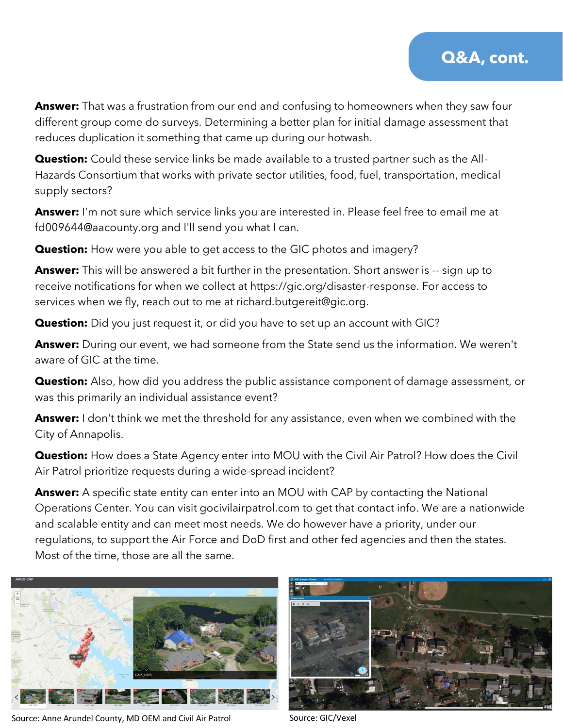**Answer:** That was a frustration from our end and confusing to homeowners when they saw four different group come do surveys. Determining a better plan for initial damage assessment that reduces duplication it something that came up during our hotwash.

**Question:** Could these service links be made available to a trusted partner such as the All-Hazards Consortium that works with private sector utilities, food, fuel, transportation, medical supply sectors?

**Answer:** I'm not sure which service links you are interested in. Please feel free to email me at fd009644@aacounty.org and I'll send you what I can.

**Question:** How were you able to get access to the GIC photos and imagery?

**Answer:** This will be answered a bit further in the presentation. Short answer is -- sign up to receive notifications for when we collect at https://gic.org/disaster-response. For access to services when we fly, reach out to me at richard.butgereit@gic.org.

**Question:** Did you just request it, or did you have to set up an account with GIC?

**Answer:** During our event, we had someone from the State send us the information. We weren't aware of GIC at the time.

**Question:** Also, how did you address the public assistance component of damage assessment, or was this primarily an individual assistance event?

**Answer:** I don't think we met the threshold for any assistance, even when we combined with the City of Annapolis.

**Question:** How does a State Agency enter into MOU with the Civil Air Patrol? How does the Civil Air Patrol prioritize requests during a wide-spread incident?

**Answer:** A specific state entity can enter into an MOU with CAP by contacting the National Operations Center. You can visit gocivilairpatrol.com to get that contact info. We are a nationwide and scalable entity and can meet most needs. We do however have a priority, under our regulations, to support the Air Force and DoD first and other fed agencies and then the states. Most of the time, those are all the same.



Source: Anne Arundel County, MD OEM and Civil Air Patrol Source: GIC/Vexel